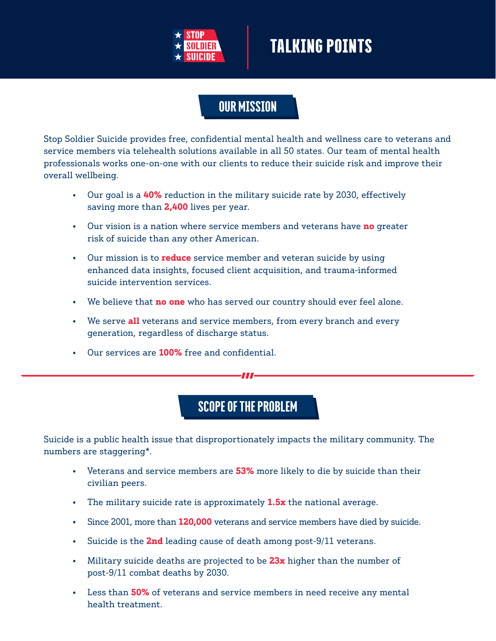

### OUR MISSION

Stop Soldier Suicide provides free, confidential mental health and wellness care to veterans and service members via telehealth solutions available in all 50 states. Our team of mental health professionals works one-on-one with our clients to reduce their suicide risk and improve their overall wellbeing.

- Our goal is a **40%** reduction in the military suicide rate by 2030, effectively saving more than **2,400** lives per year.
- Our vision is a nation where service members and veterans have **no** greater risk of suicide than any other American.
- Our mission is to **reduce** service member and veteran suicide by using enhanced data insights, focused client acquisition, and trauma-informed suicide intervention services.
- We believe that **no one** who has served our country should ever feel alone.
- We serve **all** veterans and service members, from every branch and every generation, regardless of discharge status.
- Our services are **100%** free and confidential.

### SCOPE OF THE PROBLEM

Suicide is a public health issue that disproportionately impacts the military community. The numbers are staggering\*.

- Veterans and service members are **53%** more likely to die by suicide than their civilian peers.
- The military suicide rate is approximately **1.5x** the national average.
- Since 2001, more than **120,000** veterans and service members have died by suicide.
- Suicide is the **2nd** leading cause of death among post-9/11 veterans.
- Military suicide deaths are projected to be **23x** higher than the number of post-9/11 combat deaths by 2030.
- Less than **50%** of veterans and service members in need receive any mental health treatment.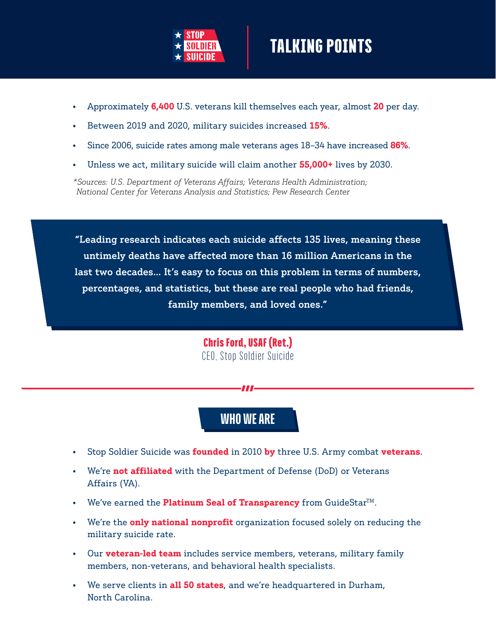

- Approximately **6,400** U.S. veterans kill themselves each year, almost **20** per day.
- Between 2019 and 2020, military suicides increased **15%**.
- Since 2006, suicide rates among male veterans ages 18–34 have increased **86%**.
- Unless we act, military suicide will claim another **55,000+** lives by 2030.

*\*Sources: U.S. Department of Veterans Affairs; Veterans Health Administration; National Center for Veterans Analysis and Statistics; Pew Research Center*

untimely deaths have affected more than 16 million Americans in the "Leading research indicates each suicide affects 135 lives, meaning these last two decades… It's easy to focus on this problem in terms of numbers, percentages, and statistics, but these are real people who had friends, family members, and loved ones."

> Chris Ford, USAF (Ret.) CEO, Stop Soldier Suicide

### WHO WE ARE

- Stop Soldier Suicide was **founded** in 2010 **by** three U.S. Army combat **veterans**.
- We're **not affiliated** with the Department of Defense (DoD) or Veterans Affairs (VA).
- We've earned the **Platinum Seal of Transparency** from GuideStar<sup>TM</sup>.
- We're the **only national nonprofit** organization focused solely on reducing the military suicide rate.
- Our **veteran-led team** includes service members, veterans, military family members, non-veterans, and behavioral health specialists.
- We serve clients in **all 50 states**, and we're headquartered in Durham, North Carolina.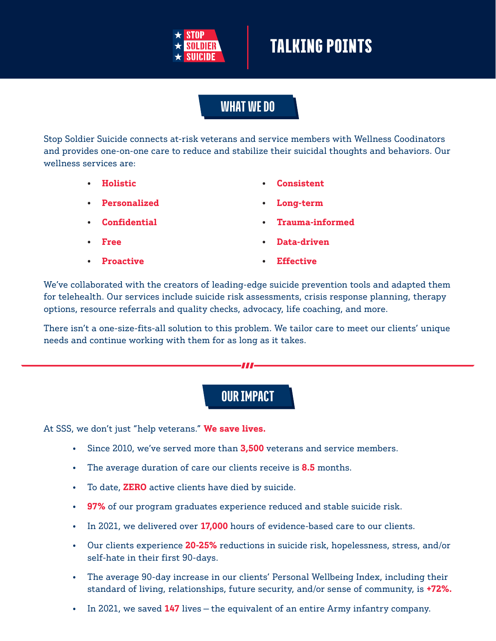

### WHAT WE DO

Stop Soldier Suicide connects at-risk veterans and service members with Wellness Coodinators and provides one-on-one care to reduce and stabilize their suicidal thoughts and behaviors. Our wellness services are:

• **Holistic**

• **Consistent**

• **Long-term**

• **Personalized**

• **Confidential**

- 
- **Trauma-informed**

- **Free**
- **Proactive**
- **Data-driven**
- **Effective**

We've collaborated with the creators of leading-edge suicide prevention tools and adapted them for telehealth. Our services include suicide risk assessments, crisis response planning, therapy options, resource referrals and quality checks, advocacy, life coaching, and more.

There isn't a one-size-fits-all solution to this problem. We tailor care to meet our clients' unique needs and continue working with them for as long as it takes.

#### OUR IMPACT

At SSS, we don't just "help veterans." **We save lives.**

- Since 2010, we've served more than **3,500** veterans and service members.
- The average duration of care our clients receive is **8.5** months.
- To date, **ZERO** active clients have died by suicide.
- **97%** of our program graduates experience reduced and stable suicide risk.
- In 2021, we delivered over **17,000** hours of evidence-based care to our clients.
- Our clients experience **20-25%** reductions in suicide risk, hopelessness, stress, and/or self-hate in their first 90-days.
- The average 90-day increase in our clients' Personal Wellbeing Index, including their standard of living, relationships, future security, and/or sense of community, is **+72%.**
- In 2021, we saved **147** lives the equivalent of an entire Army infantry company.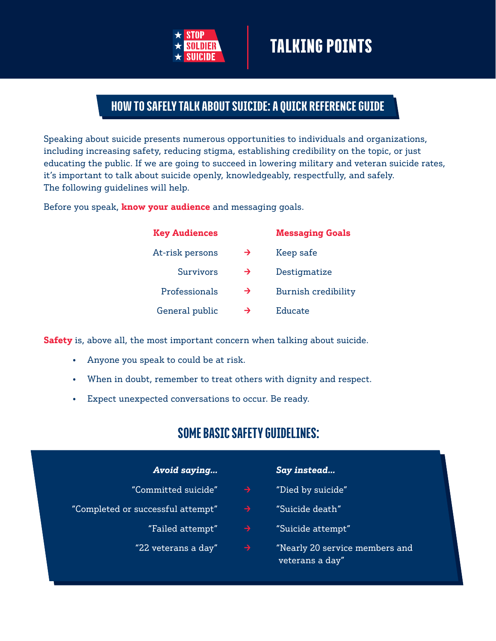

#### HOW TO SAFELY TALK ABOUT SUICIDE: A QUICK REFERENCE GUIDE

Speaking about suicide presents numerous opportunities to individuals and organizations, including increasing safety, reducing stigma, establishing credibility on the topic, or just educating the public. If we are going to succeed in lowering military and veteran suicide rates, it's important to talk about suicide openly, knowledgeably, respectfully, and safely. The following guidelines will help.

Before you speak, **know your audience** and messaging goals.

| <b>Key Audiences</b> |               | <b>Messaging Goals</b> |
|----------------------|---------------|------------------------|
| At-risk persons      | →             | Keep safe              |
| Survivors            | $\rightarrow$ | Destigmatize           |
| Professionals        | →             | Burnish credibility    |
| General public       | →             | Educate                |

**Safety** is, above all, the most important concern when talking about suicide.

- Anyone you speak to could be at risk.
- When in doubt, remember to treat others with dignity and respect.
- Expect unexpected conversations to occur. Be ready.

#### SOME BASIC SAFETY GUIDELINES:

| Avoid saying                      |               | Say instead                                       |
|-----------------------------------|---------------|---------------------------------------------------|
| "Committed suicide"               | $\rightarrow$ | "Died by suicide"                                 |
| "Completed or successful attempt" | $\rightarrow$ | "Suicide death"                                   |
| "Failed attempt"                  | $\rightarrow$ | "Suicide attempt"                                 |
| "22 veterans a day"               | $\rightarrow$ | "Nearly 20 service members and<br>veterans a day" |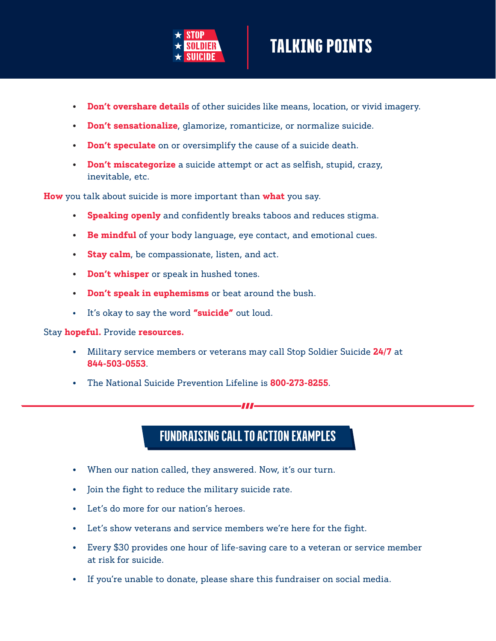

- **Don't overshare details** of other suicides like means, location, or vivid imagery.
- **Don't sensationalize**, glamorize, romanticize, or normalize suicide.
- **Don't speculate** on or oversimplify the cause of a suicide death.
- **Don't miscategorize** a suicide attempt or act as selfish, stupid, crazy, inevitable, etc.

**How** you talk about suicide is more important than **what** you say.

- **Speaking openly** and confidently breaks taboos and reduces stigma.
- **Be mindful** of your body language, eye contact, and emotional cues.
- **Stay calm**, be compassionate, listen, and act.
- **Don't whisper** or speak in hushed tones.
- **Don't speak in euphemisms** or beat around the bush.
- It's okay to say the word **"suicide"** out loud.

Stay **hopeful.** Provide **resources.**

- Military service members or veterans may call Stop Soldier Suicide **24/7** at **844-503-0553**.
- The National Suicide Prevention Lifeline is **800-273-8255**.

### FUNDRAISING CALL TO ACTION EXAMPLES

w

- When our nation called, they answered. Now, it's our turn.
- Join the fight to reduce the military suicide rate.
- Let's do more for our nation's heroes.
- Let's show veterans and service members we're here for the fight.
- Every \$30 provides one hour of life-saving care to a veteran or service member at risk for suicide.
- If you're unable to donate, please share this fundraiser on social media.